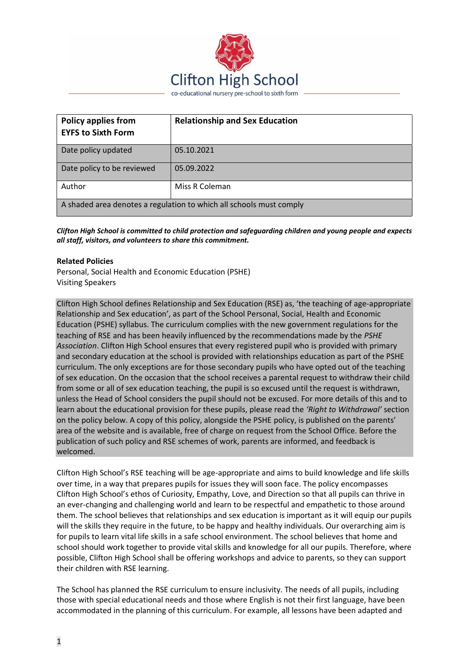

| <b>Policy applies from</b><br><b>EYFS to Sixth Form</b>             | <b>Relationship and Sex Education</b> |  |
|---------------------------------------------------------------------|---------------------------------------|--|
| Date policy updated                                                 | 05.10.2021                            |  |
| Date policy to be reviewed                                          | 05.09.2022                            |  |
| Author                                                              | Miss R Coleman                        |  |
| A shaded area denotes a regulation to which all schools must comply |                                       |  |

*Clifton High School is committed to child protection and safeguarding children and young people and expects all staff, visitors, and volunteers to share this commitment.*

#### **Related Policies**

Personal, Social Health and Economic Education (PSHE) Visiting Speakers

Clifton High School defines Relationship and Sex Education (RSE) as, 'the teaching of age-appropriate Relationship and Sex education', as part of the School Personal, Social, Health and Economic Education (PSHE) syllabus. The curriculum complies with the new government regulations for the teaching of RSE and has been heavily influenced by the recommendations made by the *PSHE Association*. Clifton High School ensures that every registered pupil who is provided with primary and secondary education at the school is provided with relationships education as part of the PSHE curriculum. The only exceptions are for those secondary pupils who have opted out of the teaching of sex education. On the occasion that the school receives a parental request to withdraw their child from some or all of sex education teaching, the pupil is so excused until the request is withdrawn, unless the Head of School considers the pupil should not be excused. For more details of this and to learn about the educational provision for these pupils, please read the *'Right to Withdrawal'* section on the policy below. A copy of this policy, alongside the PSHE policy, is published on the parents' area of the website and is available, free of charge on request from the School Office. Before the publication of such policy and RSE schemes of work, parents are informed, and feedback is welcomed.

Clifton High School's RSE teaching will be age-appropriate and aims to build knowledge and life skills over time, in a way that prepares pupils for issues they will soon face. The policy encompasses Clifton High School's ethos of Curiosity, Empathy, Love, and Direction so that all pupils can thrive in an ever-changing and challenging world and learn to be respectful and empathetic to those around them. The school believes that relationships and sex education is important as it will equip our pupils will the skills they require in the future, to be happy and healthy individuals. Our overarching aim is for pupils to learn vital life skills in a safe school environment. The school believes that home and school should work together to provide vital skills and knowledge for all our pupils. Therefore, where possible, Clifton High School shall be offering workshops and advice to parents, so they can support their children with RSE learning.

The School has planned the RSE curriculum to ensure inclusivity. The needs of all pupils, including those with special educational needs and those where English is not their first language, have been accommodated in the planning of this curriculum. For example, all lessons have been adapted and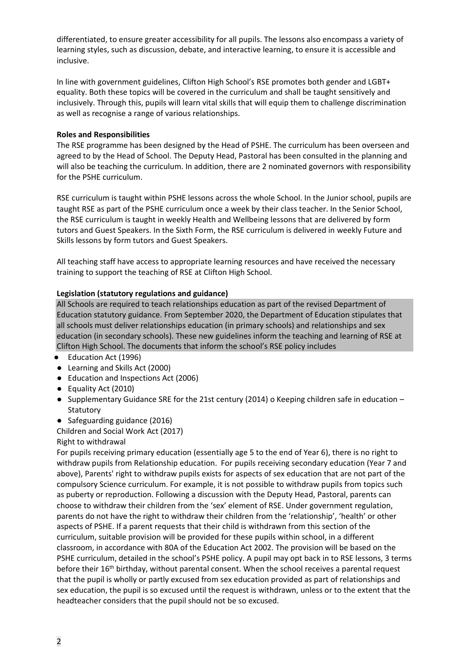differentiated, to ensure greater accessibility for all pupils. The lessons also encompass a variety of learning styles, such as discussion, debate, and interactive learning, to ensure it is accessible and inclusive.

In line with government guidelines, Clifton High School's RSE promotes both gender and LGBT+ equality. Both these topics will be covered in the curriculum and shall be taught sensitively and inclusively. Through this, pupils will learn vital skills that will equip them to challenge discrimination as well as recognise a range of various relationships.

## **Roles and Responsibilities**

The RSE programme has been designed by the Head of PSHE. The curriculum has been overseen and agreed to by the Head of School. The Deputy Head, Pastoral has been consulted in the planning and will also be teaching the curriculum. In addition, there are 2 nominated governors with responsibility for the PSHE curriculum.

RSE curriculum is taught within PSHE lessons across the whole School. In the Junior school, pupils are taught RSE as part of the PSHE curriculum once a week by their class teacher. In the Senior School, the RSE curriculum is taught in weekly Health and Wellbeing lessons that are delivered by form tutors and Guest Speakers. In the Sixth Form, the RSE curriculum is delivered in weekly Future and Skills lessons by form tutors and Guest Speakers.

All teaching staff have access to appropriate learning resources and have received the necessary training to support the teaching of RSE at Clifton High School.

## **Legislation (statutory regulations and guidance)**

All Schools are required to teach relationships education as part of the revised Department of Education statutory guidance. From September 2020, the Department of Education stipulates that all schools must deliver relationships education (in primary schools) and relationships and sex education (in secondary schools). These new guidelines inform the teaching and learning of RSE at Clifton High School. The documents that inform the school's RSE policy includes

- Education Act (1996)
- Learning and Skills Act (2000)
- Education and Inspections Act (2006)
- Equality Act (2010)
- Supplementary Guidance SRE for the 21st century (2014) o Keeping children safe in education **Statutory**
- Safeguarding guidance (2016)

Children and Social Work Act (2017)

Right to withdrawal

For pupils receiving primary education (essentially age 5 to the end of Year 6), there is no right to withdraw pupils from Relationship education. For pupils receiving secondary education (Year 7 and above), Parents' right to withdraw pupils exists for aspects of sex education that are not part of the compulsory Science curriculum. For example, it is not possible to withdraw pupils from topics such as puberty or reproduction. Following a discussion with the Deputy Head, Pastoral, parents can choose to withdraw their children from the 'sex' element of RSE. Under government regulation, parents do not have the right to withdraw their children from the 'relationship', 'health' or other aspects of PSHE. If a parent requests that their child is withdrawn from this section of the curriculum, suitable provision will be provided for these pupils within school, in a different classroom, in accordance with 80A of the Education Act 2002. The provision will be based on the PSHE curriculum, detailed in the school's PSHE policy. A pupil may opt back in to RSE lessons, 3 terms before their 16<sup>th</sup> birthday, without parental consent. When the school receives a parental request that the pupil is wholly or partly excused from sex education provided as part of relationships and sex education, the pupil is so excused until the request is withdrawn, unless or to the extent that the headteacher considers that the pupil should not be so excused.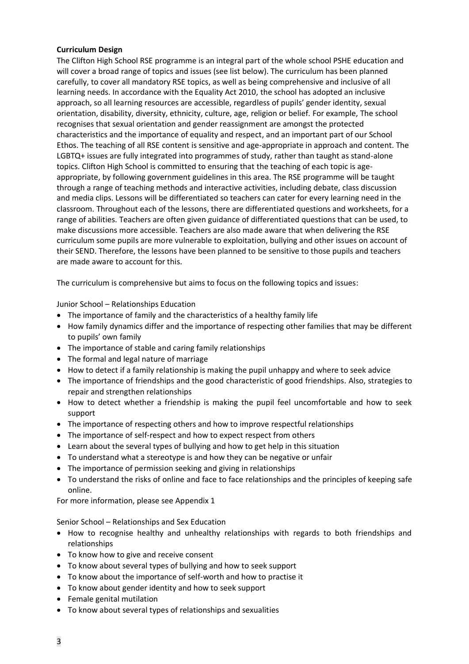## **Curriculum Design**

The Clifton High School RSE programme is an integral part of the whole school PSHE education and will cover a broad range of topics and issues (see list below). The curriculum has been planned carefully, to cover all mandatory RSE topics, as well as being comprehensive and inclusive of all learning needs. In accordance with the Equality Act 2010, the school has adopted an inclusive approach, so all learning resources are accessible, regardless of pupils' gender identity, sexual orientation, disability, diversity, ethnicity, culture, age, religion or belief. For example, The school recognises that sexual orientation and gender reassignment are amongst the protected characteristics and the importance of equality and respect, and an important part of our School Ethos. The teaching of all RSE content is sensitive and age-appropriate in approach and content. The LGBTQ+ issues are fully integrated into programmes of study, rather than taught as stand-alone topics. Clifton High School is committed to ensuring that the teaching of each topic is ageappropriate, by following government guidelines in this area. The RSE programme will be taught through a range of teaching methods and interactive activities, including debate, class discussion and media clips. Lessons will be differentiated so teachers can cater for every learning need in the classroom. Throughout each of the lessons, there are differentiated questions and worksheets, for a range of abilities. Teachers are often given guidance of differentiated questions that can be used, to make discussions more accessible. Teachers are also made aware that when delivering the RSE curriculum some pupils are more vulnerable to exploitation, bullying and other issues on account of their SEND. Therefore, the lessons have been planned to be sensitive to those pupils and teachers are made aware to account for this.

The curriculum is comprehensive but aims to focus on the following topics and issues:

Junior School – Relationships Education

- The importance of family and the characteristics of a healthy family life
- How family dynamics differ and the importance of respecting other families that may be different to pupils' own family
- The importance of stable and caring family relationships
- The formal and legal nature of marriage
- How to detect if a family relationship is making the pupil unhappy and where to seek advice
- The importance of friendships and the good characteristic of good friendships. Also, strategies to repair and strengthen relationships
- How to detect whether a friendship is making the pupil feel uncomfortable and how to seek support
- The importance of respecting others and how to improve respectful relationships
- The importance of self-respect and how to expect respect from others
- Learn about the several types of bullying and how to get help in this situation
- To understand what a stereotype is and how they can be negative or unfair
- The importance of permission seeking and giving in relationships
- To understand the risks of online and face to face relationships and the principles of keeping safe online.

For more information, please see Appendix 1

Senior School – Relationships and Sex Education

- How to recognise healthy and unhealthy relationships with regards to both friendships and relationships
- To know how to give and receive consent
- To know about several types of bullying and how to seek support
- To know about the importance of self-worth and how to practise it
- To know about gender identity and how to seek support
- Female genital mutilation
- To know about several types of relationships and sexualities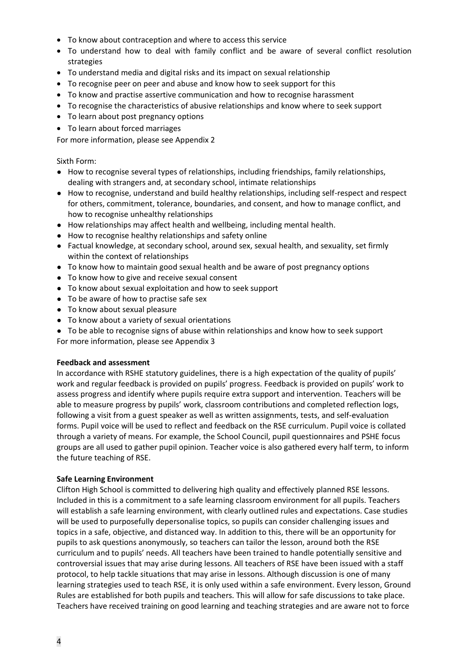- To know about contraception and where to access this service
- To understand how to deal with family conflict and be aware of several conflict resolution strategies
- To understand media and digital risks and its impact on sexual relationship
- To recognise peer on peer and abuse and know how to seek support for this
- To know and practise assertive communication and how to recognise harassment
- To recognise the characteristics of abusive relationships and know where to seek support
- To learn about post pregnancy options
- To learn about forced marriages

For more information, please see Appendix 2

#### Sixth Form:

- How to recognise several types of relationships, including friendships, family relationships, dealing with strangers and, at secondary school, intimate relationships
- How to recognise, understand and build healthy relationships, including self-respect and respect for others, commitment, tolerance, boundaries, and consent, and how to manage conflict, and how to recognise unhealthy relationships
- How relationships may affect health and wellbeing, including mental health.
- How to recognise healthy relationships and safety online
- Factual knowledge, at secondary school, around sex, sexual health, and sexuality, set firmly within the context of relationships
- To know how to maintain good sexual health and be aware of post pregnancy options
- To know how to give and receive sexual consent
- To know about sexual exploitation and how to seek support
- To be aware of how to practise safe sex
- To know about sexual pleasure
- To know about a variety of sexual orientations
- To be able to recognise signs of abuse within relationships and know how to seek support For more information, please see Appendix 3

#### **Feedback and assessment**

In accordance with RSHE statutory guidelines, there is a high expectation of the quality of pupils' work and regular feedback is provided on pupils' progress. Feedback is provided on pupils' work to assess progress and identify where pupils require extra support and intervention. Teachers will be able to measure progress by pupils' work, classroom contributions and completed reflection logs, following a visit from a guest speaker as well as written assignments, tests, and self-evaluation forms. Pupil voice will be used to reflect and feedback on the RSE curriculum. Pupil voice is collated through a variety of means. For example, the School Council, pupil questionnaires and PSHE focus groups are all used to gather pupil opinion. Teacher voice is also gathered every half term, to inform the future teaching of RSE.

#### **Safe Learning Environment**

Clifton High School is committed to delivering high quality and effectively planned RSE lessons. Included in this is a commitment to a safe learning classroom environment for all pupils. Teachers will establish a safe learning environment, with clearly outlined rules and expectations. Case studies will be used to purposefully depersonalise topics, so pupils can consider challenging issues and topics in a safe, objective, and distanced way. In addition to this, there will be an opportunity for pupils to ask questions anonymously, so teachers can tailor the lesson, around both the RSE curriculum and to pupils' needs. All teachers have been trained to handle potentially sensitive and controversial issues that may arise during lessons. All teachers of RSE have been issued with a staff protocol, to help tackle situations that may arise in lessons. Although discussion is one of many learning strategies used to teach RSE, it is only used within a safe environment. Every lesson, Ground Rules are established for both pupils and teachers. This will allow for safe discussions to take place. Teachers have received training on good learning and teaching strategies and are aware not to force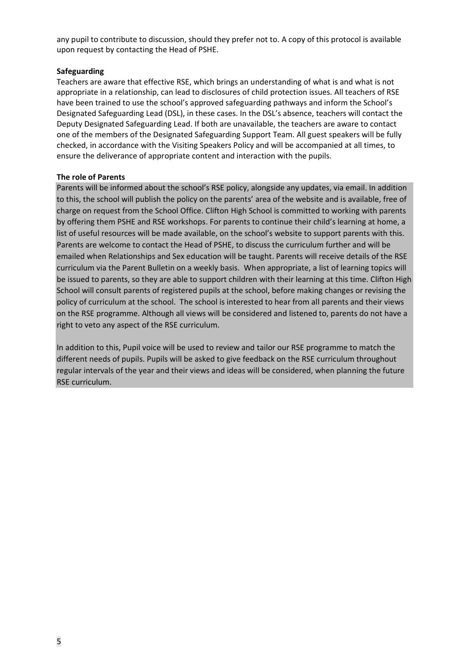any pupil to contribute to discussion, should they prefer not to. A copy of this protocol is available upon request by contacting the Head of PSHE.

### **Safeguarding**

Teachers are aware that effective RSE, which brings an understanding of what is and what is not appropriate in a relationship, can lead to disclosures of child protection issues. All teachers of RSE have been trained to use the school's approved safeguarding pathways and inform the School's Designated Safeguarding Lead (DSL), in these cases. In the DSL's absence, teachers will contact the Deputy Designated Safeguarding Lead. If both are unavailable, the teachers are aware to contact one of the members of the Designated Safeguarding Support Team. All guest speakers will be fully checked, in accordance with the Visiting Speakers Policy and will be accompanied at all times, to ensure the deliverance of appropriate content and interaction with the pupils.

## **The role of Parents**

Parents will be informed about the school's RSE policy, alongside any updates, via email. In addition to this, the school will publish the policy on the parents' area of the website and is available, free of charge on request from the School Office. Clifton High School is committed to working with parents by offering them PSHE and RSE workshops. For parents to continue their child's learning at home, a list of useful resources will be made available, on the school's website to support parents with this. Parents are welcome to contact the Head of PSHE, to discuss the curriculum further and will be emailed when Relationships and Sex education will be taught. Parents will receive details of the RSE curriculum via the Parent Bulletin on a weekly basis. When appropriate, a list of learning topics will be issued to parents, so they are able to support children with their learning at this time. Clifton High School will consult parents of registered pupils at the school, before making changes or revising the policy of curriculum at the school. The school is interested to hear from all parents and their views on the RSE programme. Although all views will be considered and listened to, parents do not have a right to veto any aspect of the RSE curriculum.

In addition to this, Pupil voice will be used to review and tailor our RSE programme to match the different needs of pupils. Pupils will be asked to give feedback on the RSE curriculum throughout regular intervals of the year and their views and ideas will be considered, when planning the future RSE curriculum.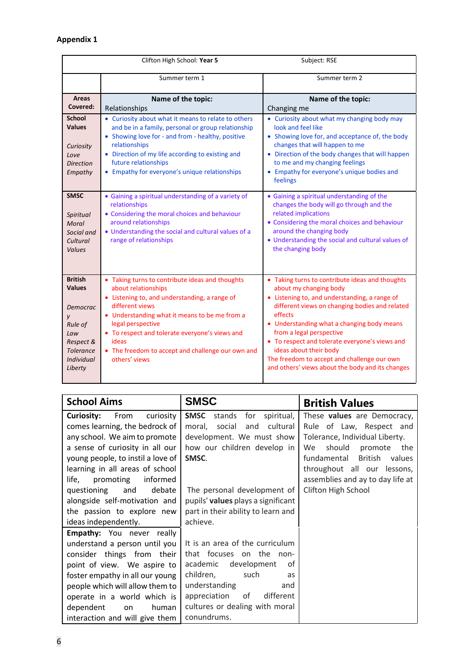# **Appendix 1**

| Clifton High School: Year 5                                                                                                         |                                                                                                                                                                                                                                                                                                                                                   | Subject: RSE                                                                                                                                                                                                                                                                                                                                                                                                                                     |
|-------------------------------------------------------------------------------------------------------------------------------------|---------------------------------------------------------------------------------------------------------------------------------------------------------------------------------------------------------------------------------------------------------------------------------------------------------------------------------------------------|--------------------------------------------------------------------------------------------------------------------------------------------------------------------------------------------------------------------------------------------------------------------------------------------------------------------------------------------------------------------------------------------------------------------------------------------------|
|                                                                                                                                     | Summer term 1                                                                                                                                                                                                                                                                                                                                     | Summer term 2                                                                                                                                                                                                                                                                                                                                                                                                                                    |
| <b>Areas</b>                                                                                                                        | Name of the topic:                                                                                                                                                                                                                                                                                                                                | Name of the topic:                                                                                                                                                                                                                                                                                                                                                                                                                               |
| Covered:                                                                                                                            | Relationships                                                                                                                                                                                                                                                                                                                                     | Changing me                                                                                                                                                                                                                                                                                                                                                                                                                                      |
| <b>School</b>                                                                                                                       | • Curiosity about what it means to relate to others                                                                                                                                                                                                                                                                                               | • Curiosity about what my changing body may                                                                                                                                                                                                                                                                                                                                                                                                      |
| <b>Values</b>                                                                                                                       | and be in a family, personal or group relationship<br>• Showing love for - and from - healthy, positive                                                                                                                                                                                                                                           | look and feel like<br>• Showing love for, and acceptance of, the body                                                                                                                                                                                                                                                                                                                                                                            |
| Curiosity                                                                                                                           | relationships                                                                                                                                                                                                                                                                                                                                     | changes that will happen to me                                                                                                                                                                                                                                                                                                                                                                                                                   |
| Love                                                                                                                                | • Direction of my life according to existing and                                                                                                                                                                                                                                                                                                  | • Direction of the body changes that will happen                                                                                                                                                                                                                                                                                                                                                                                                 |
| <b>Direction</b>                                                                                                                    | future relationships                                                                                                                                                                                                                                                                                                                              | to me and my changing feelings                                                                                                                                                                                                                                                                                                                                                                                                                   |
| Empathy                                                                                                                             | • Empathy for everyone's unique relationships                                                                                                                                                                                                                                                                                                     | • Empathy for everyone's unique bodies and<br>feelings                                                                                                                                                                                                                                                                                                                                                                                           |
| <b>SMSC</b><br>Spiritual<br>Moral<br>Social and<br>Cultural<br><b>Values</b>                                                        | • Gaining a spiritual understanding of a variety of<br>relationships<br>• Considering the moral choices and behaviour<br>around relationships<br>• Understanding the social and cultural values of a<br>range of relationships                                                                                                                    | • Gaining a spiritual understanding of the<br>changes the body will go through and the<br>related implications<br>• Considering the moral choices and behaviour<br>around the changing body<br>• Understanding the social and cultural values of<br>the changing body                                                                                                                                                                            |
| <b>British</b><br><b>Values</b><br>Democrac<br>у<br>Rule of<br>Law<br>Respect &<br><b>Tolerance</b><br><b>Individual</b><br>Liberty | • Taking turns to contribute ideas and thoughts<br>about relationships<br>• Listening to, and understanding, a range of<br>different views<br>• Understanding what it means to be me from a<br>legal perspective<br>• To respect and tolerate everyone's views and<br>ideas<br>• The freedom to accept and challenge our own and<br>others' views | • Taking turns to contribute ideas and thoughts<br>about my changing body<br>• Listening to, and understanding, a range of<br>different views on changing bodies and related<br>effects<br>• Understanding what a changing body means<br>from a legal perspective<br>• To respect and tolerate everyone's views and<br>ideas about their body<br>The freedom to accept and challenge our own<br>and others' views about the body and its changes |

| <b>School Aims</b>                | <b>SMSC</b>                             | <b>British Values</b>            |
|-----------------------------------|-----------------------------------------|----------------------------------|
| Curiosity:<br>From<br>curiosity   | <b>SMSC</b><br>stands for<br>spiritual, | These values are Democracy,      |
| comes learning, the bedrock of    | cultural<br>moral,<br>social<br>and     | Rule of Law, Respect and         |
| any school. We aim to promote     | development. We must show               | Tolerance, Individual Liberty.   |
| a sense of curiosity in all our   | how our children develop in             | should<br>promote<br>the<br>We . |
| young people, to instil a love of | SMSC.                                   | fundamental British<br>values    |
| learning in all areas of school   |                                         | throughout all our lessons,      |
| informed<br>promoting<br>life,    |                                         | assemblies and ay to day life at |
| and debate<br>questioning         | The personal development of             | Clifton High School              |
| alongside self-motivation and     | pupils' values plays a significant      |                                  |
| the passion to explore new        | part in their ability to learn and      |                                  |
| ideas independently.              | achieve.                                |                                  |
| <b>Empathy:</b> You never really  |                                         |                                  |
| understand a person until you     | It is an area of the curriculum         |                                  |
| consider things from their        | that focuses on the non-                |                                  |
| point of view. We aspire to       | development<br>academic<br>0f           |                                  |
| foster empathy in all our young   | children,<br>such<br>as                 |                                  |
| people which will allow them to   | understanding<br>and                    |                                  |
| operate in a world which is       | appreciation<br>different<br>of         |                                  |
| dependent<br>human<br>on          | cultures or dealing with moral          |                                  |
| interaction and will give them    | conundrums.                             |                                  |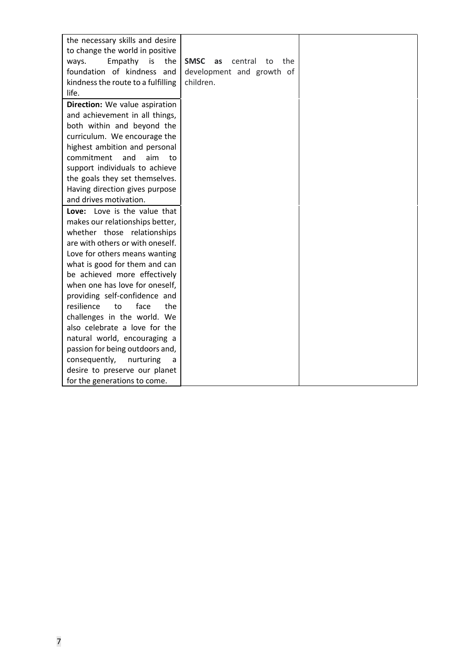| the necessary skills and desire    |                                           |  |
|------------------------------------|-------------------------------------------|--|
| to change the world in positive    |                                           |  |
| the<br>Empathy is<br>ways.         | <b>SMSC</b><br>central<br>the<br>as<br>to |  |
| foundation of kindness and         | development and growth of                 |  |
| kindness the route to a fulfilling | children.                                 |  |
| life.                              |                                           |  |
| Direction: We value aspiration     |                                           |  |
| and achievement in all things,     |                                           |  |
| both within and beyond the         |                                           |  |
| curriculum. We encourage the       |                                           |  |
| highest ambition and personal      |                                           |  |
| commitment<br>and<br>aim<br>to     |                                           |  |
| support individuals to achieve     |                                           |  |
| the goals they set themselves.     |                                           |  |
| Having direction gives purpose     |                                           |  |
| and drives motivation.             |                                           |  |
| Love: Love is the value that       |                                           |  |
| makes our relationships better,    |                                           |  |
| whether those relationships        |                                           |  |
| are with others or with oneself.   |                                           |  |
| Love for others means wanting      |                                           |  |
| what is good for them and can      |                                           |  |
| be achieved more effectively       |                                           |  |
| when one has love for oneself,     |                                           |  |
| providing self-confidence and      |                                           |  |
| resilience<br>to<br>face<br>the    |                                           |  |
| challenges in the world. We        |                                           |  |
| also celebrate a love for the      |                                           |  |
| natural world, encouraging a       |                                           |  |
| passion for being outdoors and,    |                                           |  |
| consequently,<br>nurturing<br>a    |                                           |  |
| desire to preserve our planet      |                                           |  |
| for the generations to come.       |                                           |  |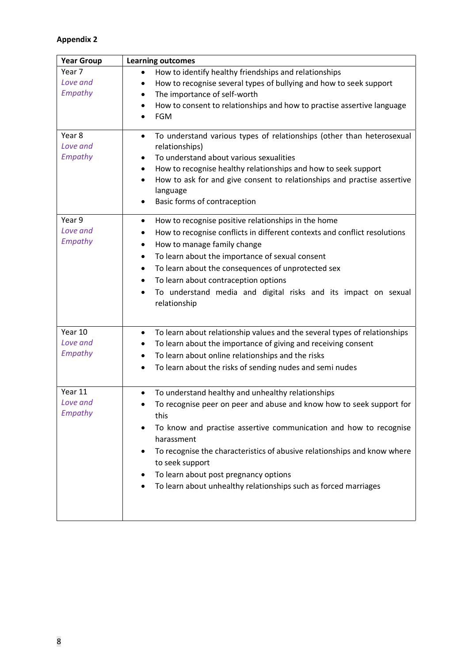## **Appendix 2**

| Year 7<br>How to identify healthy friendships and relationships<br>$\bullet$<br>Love and<br>How to recognise several types of bullying and how to seek support<br>٠<br>Empathy<br>The importance of self-worth<br>٠<br>How to consent to relationships and how to practise assertive language<br>$\bullet$<br>FGM<br>$\bullet$<br>Year <sub>8</sub><br>To understand various types of relationships (other than heterosexual<br>$\bullet$<br>Love and<br>relationships)<br>Empathy<br>To understand about various sexualities<br>$\bullet$<br>How to recognise healthy relationships and how to seek support<br>٠<br>How to ask for and give consent to relationships and practise assertive<br>٠<br>language<br>Basic forms of contraception<br>$\bullet$ |
|------------------------------------------------------------------------------------------------------------------------------------------------------------------------------------------------------------------------------------------------------------------------------------------------------------------------------------------------------------------------------------------------------------------------------------------------------------------------------------------------------------------------------------------------------------------------------------------------------------------------------------------------------------------------------------------------------------------------------------------------------------|
|                                                                                                                                                                                                                                                                                                                                                                                                                                                                                                                                                                                                                                                                                                                                                            |
|                                                                                                                                                                                                                                                                                                                                                                                                                                                                                                                                                                                                                                                                                                                                                            |
|                                                                                                                                                                                                                                                                                                                                                                                                                                                                                                                                                                                                                                                                                                                                                            |
|                                                                                                                                                                                                                                                                                                                                                                                                                                                                                                                                                                                                                                                                                                                                                            |
|                                                                                                                                                                                                                                                                                                                                                                                                                                                                                                                                                                                                                                                                                                                                                            |
|                                                                                                                                                                                                                                                                                                                                                                                                                                                                                                                                                                                                                                                                                                                                                            |
|                                                                                                                                                                                                                                                                                                                                                                                                                                                                                                                                                                                                                                                                                                                                                            |
|                                                                                                                                                                                                                                                                                                                                                                                                                                                                                                                                                                                                                                                                                                                                                            |
|                                                                                                                                                                                                                                                                                                                                                                                                                                                                                                                                                                                                                                                                                                                                                            |
|                                                                                                                                                                                                                                                                                                                                                                                                                                                                                                                                                                                                                                                                                                                                                            |
|                                                                                                                                                                                                                                                                                                                                                                                                                                                                                                                                                                                                                                                                                                                                                            |
|                                                                                                                                                                                                                                                                                                                                                                                                                                                                                                                                                                                                                                                                                                                                                            |
| Year 9<br>How to recognise positive relationships in the home<br>٠                                                                                                                                                                                                                                                                                                                                                                                                                                                                                                                                                                                                                                                                                         |
| Love and<br>How to recognise conflicts in different contexts and conflict resolutions<br>٠                                                                                                                                                                                                                                                                                                                                                                                                                                                                                                                                                                                                                                                                 |
| Empathy<br>How to manage family change<br>٠                                                                                                                                                                                                                                                                                                                                                                                                                                                                                                                                                                                                                                                                                                                |
| To learn about the importance of sexual consent<br>$\bullet$                                                                                                                                                                                                                                                                                                                                                                                                                                                                                                                                                                                                                                                                                               |
| To learn about the consequences of unprotected sex<br>٠                                                                                                                                                                                                                                                                                                                                                                                                                                                                                                                                                                                                                                                                                                    |
| To learn about contraception options<br>$\bullet$                                                                                                                                                                                                                                                                                                                                                                                                                                                                                                                                                                                                                                                                                                          |
| To understand media and digital risks and its impact on sexual<br>٠                                                                                                                                                                                                                                                                                                                                                                                                                                                                                                                                                                                                                                                                                        |
| relationship                                                                                                                                                                                                                                                                                                                                                                                                                                                                                                                                                                                                                                                                                                                                               |
|                                                                                                                                                                                                                                                                                                                                                                                                                                                                                                                                                                                                                                                                                                                                                            |
| Year 10<br>To learn about relationship values and the several types of relationships<br>$\bullet$                                                                                                                                                                                                                                                                                                                                                                                                                                                                                                                                                                                                                                                          |
| Love and<br>To learn about the importance of giving and receiving consent                                                                                                                                                                                                                                                                                                                                                                                                                                                                                                                                                                                                                                                                                  |
| Empathy<br>To learn about online relationships and the risks<br>٠                                                                                                                                                                                                                                                                                                                                                                                                                                                                                                                                                                                                                                                                                          |
| To learn about the risks of sending nudes and semi nudes<br>٠                                                                                                                                                                                                                                                                                                                                                                                                                                                                                                                                                                                                                                                                                              |
|                                                                                                                                                                                                                                                                                                                                                                                                                                                                                                                                                                                                                                                                                                                                                            |
| Year 11<br>To understand healthy and unhealthy relationships<br>$\bullet$                                                                                                                                                                                                                                                                                                                                                                                                                                                                                                                                                                                                                                                                                  |
| Love and<br>To recognise peer on peer and abuse and know how to seek support for                                                                                                                                                                                                                                                                                                                                                                                                                                                                                                                                                                                                                                                                           |
| <b>Empathy</b><br>this                                                                                                                                                                                                                                                                                                                                                                                                                                                                                                                                                                                                                                                                                                                                     |
| To know and practise assertive communication and how to recognise                                                                                                                                                                                                                                                                                                                                                                                                                                                                                                                                                                                                                                                                                          |
| harassment                                                                                                                                                                                                                                                                                                                                                                                                                                                                                                                                                                                                                                                                                                                                                 |
| To recognise the characteristics of abusive relationships and know where                                                                                                                                                                                                                                                                                                                                                                                                                                                                                                                                                                                                                                                                                   |
| to seek support                                                                                                                                                                                                                                                                                                                                                                                                                                                                                                                                                                                                                                                                                                                                            |
| To learn about post pregnancy options                                                                                                                                                                                                                                                                                                                                                                                                                                                                                                                                                                                                                                                                                                                      |
| To learn about unhealthy relationships such as forced marriages                                                                                                                                                                                                                                                                                                                                                                                                                                                                                                                                                                                                                                                                                            |
|                                                                                                                                                                                                                                                                                                                                                                                                                                                                                                                                                                                                                                                                                                                                                            |
|                                                                                                                                                                                                                                                                                                                                                                                                                                                                                                                                                                                                                                                                                                                                                            |